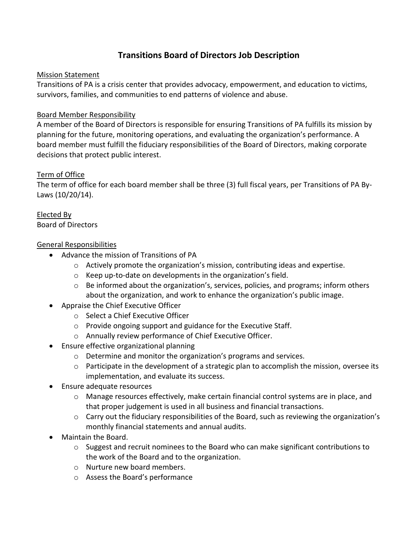## **Transitions Board of Directors Job Description**

### Mission Statement

Transitions of PA is a crisis center that provides advocacy, empowerment, and education to victims, survivors, families, and communities to end patterns of violence and abuse.

### Board Member Responsibility

A member of the Board of Directors is responsible for ensuring Transitions of PA fulfills its mission by planning for the future, monitoring operations, and evaluating the organization's performance. A board member must fulfill the fiduciary responsibilities of the Board of Directors, making corporate decisions that protect public interest.

### Term of Office

The term of office for each board member shall be three (3) full fiscal years, per Transitions of PA By-Laws (10/20/14).

Elected By Board of Directors

### General Responsibilities

- Advance the mission of Transitions of PA
	- $\circ$  Actively promote the organization's mission, contributing ideas and expertise.
	- o Keep up-to-date on developments in the organization's field.
	- o Be informed about the organization's, services, policies, and programs; inform others about the organization, and work to enhance the organization's public image.
- Appraise the Chief Executive Officer
	- o Select a Chief Executive Officer
	- o Provide ongoing support and guidance for the Executive Staff.
	- o Annually review performance of Chief Executive Officer.
- Ensure effective organizational planning
	- o Determine and monitor the organization's programs and services.
	- $\circ$  Participate in the development of a strategic plan to accomplish the mission, oversee its implementation, and evaluate its success.
- Ensure adequate resources
	- $\circ$  Manage resources effectively, make certain financial control systems are in place, and that proper judgement is used in all business and financial transactions.
	- o Carry out the fiduciary responsibilities of the Board, such as reviewing the organization's monthly financial statements and annual audits.
- Maintain the Board.
	- $\circ$  Suggest and recruit nominees to the Board who can make significant contributions to the work of the Board and to the organization.
	- o Nurture new board members.
	- o Assess the Board's performance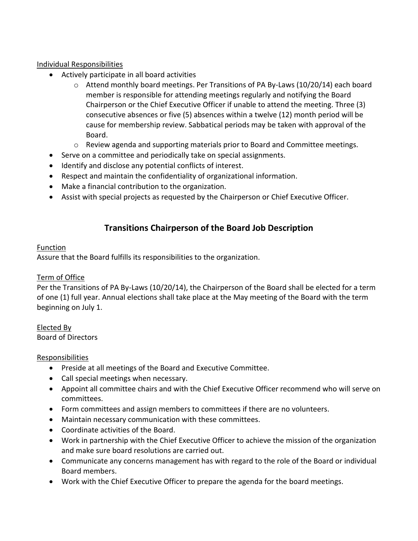### Individual Responsibilities

- Actively participate in all board activities
	- $\circ$  Attend monthly board meetings. Per Transitions of PA By-Laws (10/20/14) each board member is responsible for attending meetings regularly and notifying the Board Chairperson or the Chief Executive Officer if unable to attend the meeting. Three (3) consecutive absences or five (5) absences within a twelve (12) month period will be cause for membership review. Sabbatical periods may be taken with approval of the Board.
	- $\circ$  Review agenda and supporting materials prior to Board and Committee meetings.
- Serve on a committee and periodically take on special assignments.
- Identify and disclose any potential conflicts of interest.
- Respect and maintain the confidentiality of organizational information.
- Make a financial contribution to the organization.
- Assist with special projects as requested by the Chairperson or Chief Executive Officer.

## **Transitions Chairperson of the Board Job Description**

#### **Function**

Assure that the Board fulfills its responsibilities to the organization.

### Term of Office

Per the Transitions of PA By-Laws (10/20/14), the Chairperson of the Board shall be elected for a term of one (1) full year. Annual elections shall take place at the May meeting of the Board with the term beginning on July 1.

Elected By Board of Directors

### Responsibilities

- Preside at all meetings of the Board and Executive Committee.
- Call special meetings when necessary.
- Appoint all committee chairs and with the Chief Executive Officer recommend who will serve on committees.
- Form committees and assign members to committees if there are no volunteers.
- Maintain necessary communication with these committees.
- Coordinate activities of the Board.
- Work in partnership with the Chief Executive Officer to achieve the mission of the organization and make sure board resolutions are carried out.
- Communicate any concerns management has with regard to the role of the Board or individual Board members.
- Work with the Chief Executive Officer to prepare the agenda for the board meetings.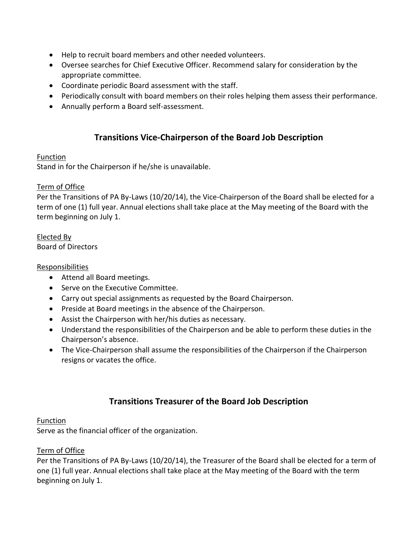- Help to recruit board members and other needed volunteers.
- Oversee searches for Chief Executive Officer. Recommend salary for consideration by the appropriate committee.
- Coordinate periodic Board assessment with the staff.
- Periodically consult with board members on their roles helping them assess their performance.
- Annually perform a Board self-assessment.

### **Transitions Vice-Chairperson of the Board Job Description**

### Function

Stand in for the Chairperson if he/she is unavailable.

#### Term of Office

Per the Transitions of PA By-Laws (10/20/14), the Vice-Chairperson of the Board shall be elected for a term of one (1) full year. Annual elections shall take place at the May meeting of the Board with the term beginning on July 1.

Elected By Board of Directors

### Responsibilities

- Attend all Board meetings.
- Serve on the Executive Committee.
- Carry out special assignments as requested by the Board Chairperson.
- Preside at Board meetings in the absence of the Chairperson.
- Assist the Chairperson with her/his duties as necessary.
- Understand the responsibilities of the Chairperson and be able to perform these duties in the Chairperson's absence.
- The Vice-Chairperson shall assume the responsibilities of the Chairperson if the Chairperson resigns or vacates the office.

# **Transitions Treasurer of the Board Job Description**

#### **Function**

Serve as the financial officer of the organization.

#### Term of Office

Per the Transitions of PA By-Laws (10/20/14), the Treasurer of the Board shall be elected for a term of one (1) full year. Annual elections shall take place at the May meeting of the Board with the term beginning on July 1.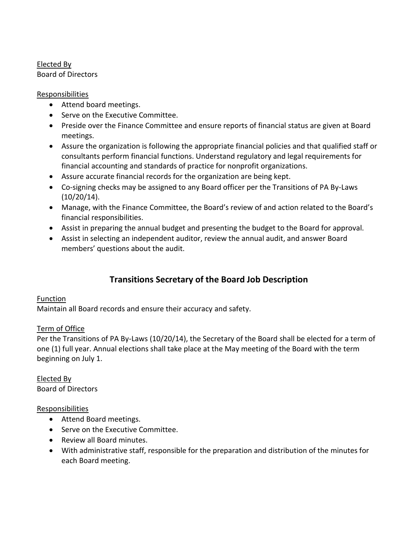Elected By Board of Directors

### Responsibilities

- Attend board meetings.
- Serve on the Executive Committee.
- Preside over the Finance Committee and ensure reports of financial status are given at Board meetings.
- Assure the organization is following the appropriate financial policies and that qualified staff or consultants perform financial functions. Understand regulatory and legal requirements for financial accounting and standards of practice for nonprofit organizations.
- Assure accurate financial records for the organization are being kept.
- Co-signing checks may be assigned to any Board officer per the Transitions of PA By-Laws (10/20/14).
- Manage, with the Finance Committee, the Board's review of and action related to the Board's financial responsibilities.
- Assist in preparing the annual budget and presenting the budget to the Board for approval.
- Assist in selecting an independent auditor, review the annual audit, and answer Board members' questions about the audit.

# **Transitions Secretary of the Board Job Description**

### Function

Maintain all Board records and ensure their accuracy and safety.

### Term of Office

Per the Transitions of PA By-Laws (10/20/14), the Secretary of the Board shall be elected for a term of one (1) full year. Annual elections shall take place at the May meeting of the Board with the term beginning on July 1.

Elected By Board of Directors

### Responsibilities

- Attend Board meetings.
- Serve on the Executive Committee.
- Review all Board minutes.
- With administrative staff, responsible for the preparation and distribution of the minutes for each Board meeting.